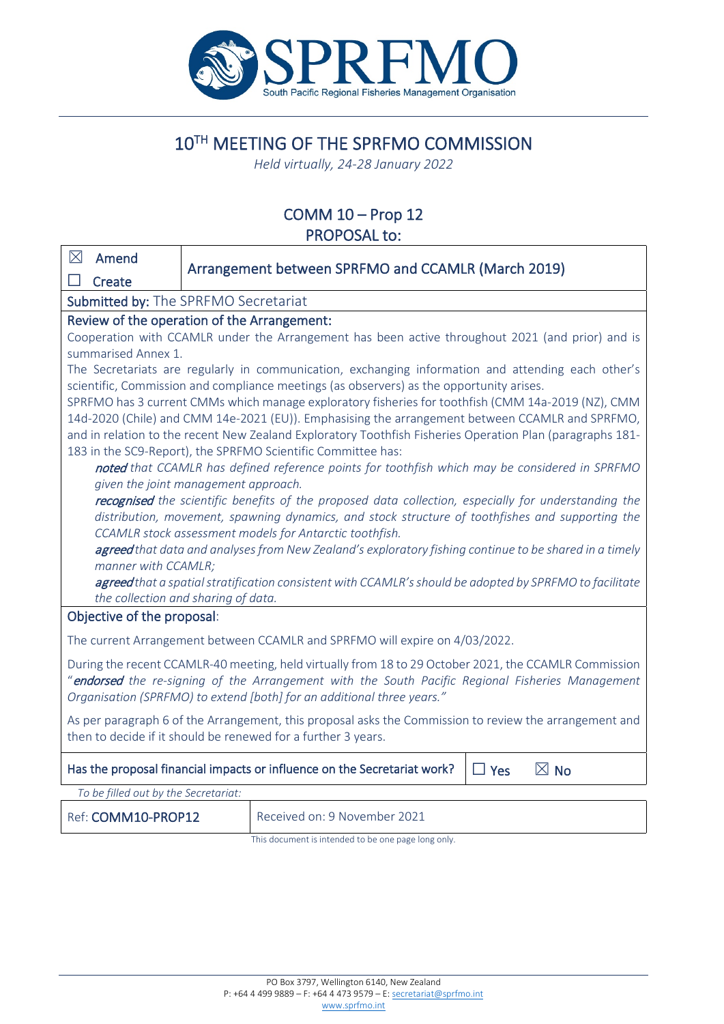

# 10TH MEETING OF THE SPRFMO COMMISSION

*Held virtually, 24-28 January 2022*

# COMM 10 – Prop 12 PROPOSAL to:

| $\boxtimes$                                                                                                                                                                                    | Amend                               |  | Arrangement between SPRFMO and CCAMLR (March 2019)                                                      |  |  |  |  |
|------------------------------------------------------------------------------------------------------------------------------------------------------------------------------------------------|-------------------------------------|--|---------------------------------------------------------------------------------------------------------|--|--|--|--|
|                                                                                                                                                                                                | Create                              |  |                                                                                                         |  |  |  |  |
| Submitted by: The SPRFMO Secretariat                                                                                                                                                           |                                     |  |                                                                                                         |  |  |  |  |
| Review of the operation of the Arrangement:                                                                                                                                                    |                                     |  |                                                                                                         |  |  |  |  |
| Cooperation with CCAMLR under the Arrangement has been active throughout 2021 (and prior) and is                                                                                               |                                     |  |                                                                                                         |  |  |  |  |
| summarised Annex 1.                                                                                                                                                                            |                                     |  |                                                                                                         |  |  |  |  |
| The Secretariats are regularly in communication, exchanging information and attending each other's<br>scientific, Commission and compliance meetings (as observers) as the opportunity arises. |                                     |  |                                                                                                         |  |  |  |  |
| SPRFMO has 3 current CMMs which manage exploratory fisheries for toothfish (CMM 14a-2019 (NZ), CMM                                                                                             |                                     |  |                                                                                                         |  |  |  |  |
| 14d-2020 (Chile) and CMM 14e-2021 (EU)). Emphasising the arrangement between CCAMLR and SPRFMO,                                                                                                |                                     |  |                                                                                                         |  |  |  |  |
| and in relation to the recent New Zealand Exploratory Toothfish Fisheries Operation Plan (paragraphs 181-                                                                                      |                                     |  |                                                                                                         |  |  |  |  |
| 183 in the SC9-Report), the SPRFMO Scientific Committee has:                                                                                                                                   |                                     |  |                                                                                                         |  |  |  |  |
| noted that CCAMLR has defined reference points for toothfish which may be considered in SPRFMO                                                                                                 |                                     |  |                                                                                                         |  |  |  |  |
| given the joint management approach.                                                                                                                                                           |                                     |  |                                                                                                         |  |  |  |  |
| recognised the scientific benefits of the proposed data collection, especially for understanding the                                                                                           |                                     |  |                                                                                                         |  |  |  |  |
|                                                                                                                                                                                                |                                     |  | distribution, movement, spawning dynamics, and stock structure of toothfishes and supporting the        |  |  |  |  |
|                                                                                                                                                                                                |                                     |  | CCAMLR stock assessment models for Antarctic toothfish.                                                 |  |  |  |  |
| agreed that data and analyses from New Zealand's exploratory fishing continue to be shared in a timely<br>manner with CCAMLR;                                                                  |                                     |  |                                                                                                         |  |  |  |  |
|                                                                                                                                                                                                |                                     |  | agreed that a spatial stratification consistent with CCAMLR's should be adopted by SPRFMO to facilitate |  |  |  |  |
|                                                                                                                                                                                                | the collection and sharing of data. |  |                                                                                                         |  |  |  |  |
| Objective of the proposal:                                                                                                                                                                     |                                     |  |                                                                                                         |  |  |  |  |
| The current Arrangement between CCAMLR and SPRFMO will expire on 4/03/2022.                                                                                                                    |                                     |  |                                                                                                         |  |  |  |  |
| During the recent CCAMLR-40 meeting, held virtually from 18 to 29 October 2021, the CCAMLR Commission                                                                                          |                                     |  |                                                                                                         |  |  |  |  |
| "endorsed the re-signing of the Arrangement with the South Pacific Regional Fisheries Management                                                                                               |                                     |  |                                                                                                         |  |  |  |  |
| Organisation (SPRFMO) to extend [both] for an additional three years."                                                                                                                         |                                     |  |                                                                                                         |  |  |  |  |
| As per paragraph 6 of the Arrangement, this proposal asks the Commission to review the arrangement and                                                                                         |                                     |  |                                                                                                         |  |  |  |  |
| then to decide if it should be renewed for a further 3 years.                                                                                                                                  |                                     |  |                                                                                                         |  |  |  |  |
|                                                                                                                                                                                                |                                     |  |                                                                                                         |  |  |  |  |
| Has the proposal financial impacts or influence on the Secretariat work?<br>$\boxtimes$ No<br>$\Box$ Yes                                                                                       |                                     |  |                                                                                                         |  |  |  |  |
| To be filled out by the Secretariat:                                                                                                                                                           |                                     |  |                                                                                                         |  |  |  |  |
|                                                                                                                                                                                                | Ref: COMM10-PROP12                  |  | Received on: 9 November 2021                                                                            |  |  |  |  |
|                                                                                                                                                                                                |                                     |  | This document is intended to be one page long only.                                                     |  |  |  |  |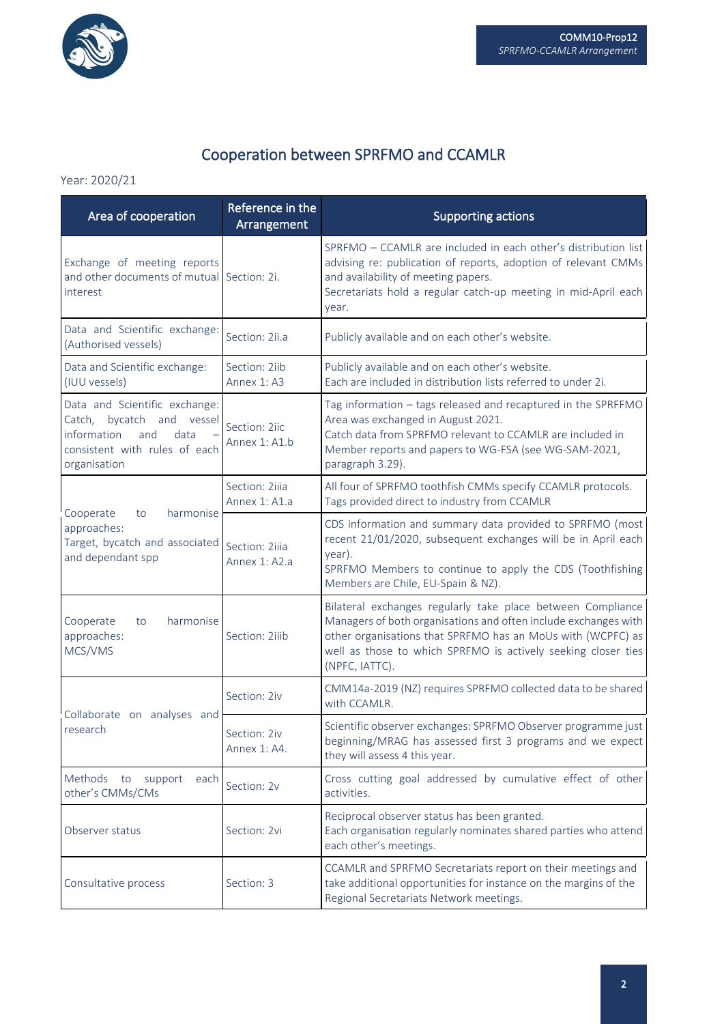

# Cooperation between SPRFMO and CCAMLR

#### Year: 2020/21

| Area of cooperation                                                                                                                          | Reference in the<br>Arrangement | <b>Supporting actions</b>                                                                                                                                                                                                                                                        |
|----------------------------------------------------------------------------------------------------------------------------------------------|---------------------------------|----------------------------------------------------------------------------------------------------------------------------------------------------------------------------------------------------------------------------------------------------------------------------------|
| Exchange of meeting reports<br>and other documents of mutual Section: 2i.<br>interest                                                        |                                 | SPRFMO - CCAMLR are included in each other's distribution list<br>advising re: publication of reports, adoption of relevant CMMs<br>and availability of meeting papers.<br>Secretariats hold a regular catch-up meeting in mid-April each<br>year.                               |
| Data and Scientific exchange:<br>(Authorised vessels)                                                                                        | Section: 2ii.a                  | Publicly available and on each other's website.                                                                                                                                                                                                                                  |
| Data and Scientific exchange:<br>(IUU vessels)                                                                                               | Section: 2iib<br>Annex 1: A3    | Publicly available and on each other's website.<br>Each are included in distribution lists referred to under 2i.                                                                                                                                                                 |
| Data and Scientific exchange:<br>Catch, bycatch<br>and vessel<br>information<br>and<br>data<br>consistent with rules of each<br>organisation | Section: 2iic<br>Annex 1: A1.b  | Tag information - tags released and recaptured in the SPRFFMO<br>Area was exchanged in August 2021.<br>Catch data from SPRFMO relevant to CCAMLR are included in<br>Member reports and papers to WG-FSA (see WG-SAM-2021,<br>paragraph 3.29).                                    |
| harmonise                                                                                                                                    | Section: 2iiia<br>Annex 1: A1.a | All four of SPRFMO toothfish CMMs specify CCAMLR protocols.<br>Tags provided direct to industry from CCAMLR                                                                                                                                                                      |
| Cooperate<br>to<br>approaches:<br>Target, bycatch and associated<br>and dependant spp                                                        | Section: 2iiia<br>Annex 1: A2.a | CDS information and summary data provided to SPRFMO (most<br>recent 21/01/2020, subsequent exchanges will be in April each<br>year).<br>SPRFMO Members to continue to apply the CDS (Toothfishing<br>Members are Chile, EU-Spain & NZ).                                          |
| Cooperate<br>harmonise<br>to<br>approaches:<br>MCS/VMS                                                                                       | Section: 2iiib                  | Bilateral exchanges regularly take place between Compliance<br>Managers of both organisations and often include exchanges with<br>other organisations that SPRFMO has an MoUs with (WCPFC) as<br>well as those to which SPRFMO is actively seeking closer ties<br>(NPFC, IATTC). |
| Collaborate on analyses and                                                                                                                  | Section: 2iv                    | CMM14a-2019 (NZ) requires SPRFMO collected data to be shared<br>with CCAMLR.                                                                                                                                                                                                     |
| research                                                                                                                                     | Section: 2iv<br>Annex 1: A4.    | Scientific observer exchanges: SPRFMO Observer programme just<br>beginning/MRAG has assessed first 3 programs and we expect<br>they will assess 4 this year.                                                                                                                     |
| Methods to<br>support<br>each<br>other's CMMs/CMs                                                                                            | Section: 2v                     | Cross cutting goal addressed by cumulative effect of other<br>activities.                                                                                                                                                                                                        |
| Observer status                                                                                                                              | Section: 2vi                    | Reciprocal observer status has been granted.<br>Each organisation regularly nominates shared parties who attend<br>each other's meetings.                                                                                                                                        |
| Consultative process                                                                                                                         | Section: 3                      | CCAMLR and SPRFMO Secretariats report on their meetings and<br>take additional opportunities for instance on the margins of the<br>Regional Secretariats Network meetings.                                                                                                       |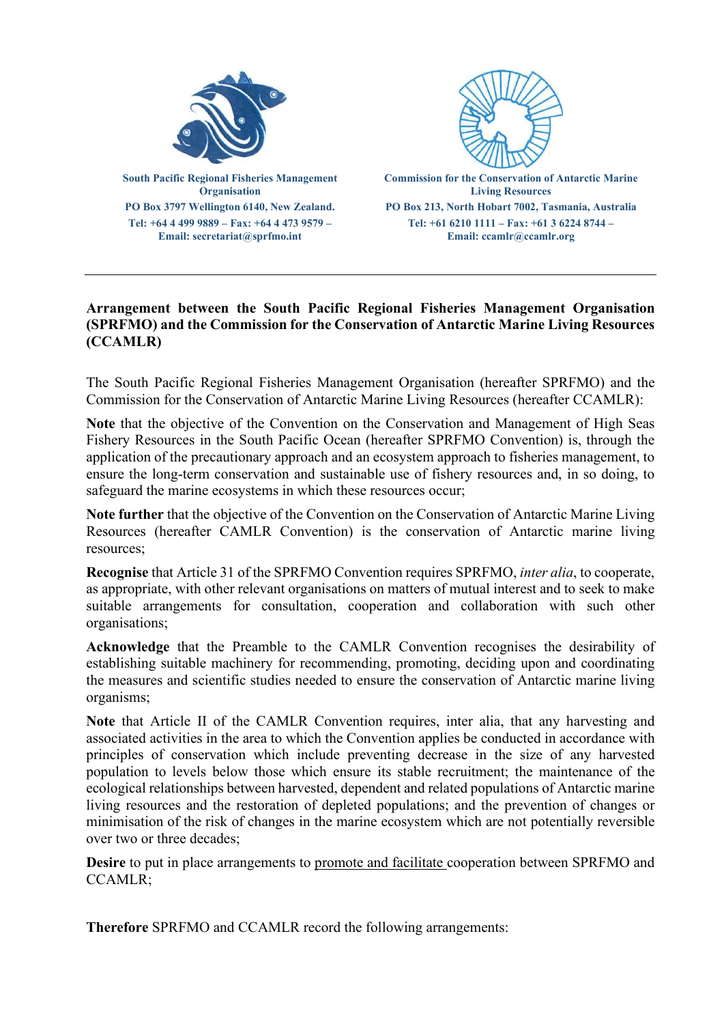

## **Arrangement between the South Pacific Regional Fisheries Management Organisation (SPRFMO) and the Commission for the Conservation of Antarctic Marine Living Resources (CCAMLR)**

The South Pacific Regional Fisheries Management Organisation (hereafter SPRFMO) and the Commission for the Conservation of Antarctic Marine Living Resources (hereafter CCAMLR):

**Note** that the objective of the Convention on the Conservation and Management of High Seas Fishery Resources in the South Pacific Ocean (hereafter SPRFMO Convention) is, through the application of the precautionary approach and an ecosystem approach to fisheries management, to ensure the long-term conservation and sustainable use of fishery resources and, in so doing, to safeguard the marine ecosystems in which these resources occur;

**Note further** that the objective of the Convention on the Conservation of Antarctic Marine Living Resources (hereafter CAMLR Convention) is the conservation of Antarctic marine living resources;

**Recognise** that Article 31 of the SPRFMO Convention requires SPRFMO, *inter alia*, to cooperate, as appropriate, with other relevant organisations on matters of mutual interest and to seek to make suitable arrangements for consultation, cooperation and collaboration with such other organisations;

**Acknowledge** that the Preamble to the CAMLR Convention recognises the desirability of establishing suitable machinery for recommending, promoting, deciding upon and coordinating the measures and scientific studies needed to ensure the conservation of Antarctic marine living organisms;

**Note** that Article II of the CAMLR Convention requires, inter alia, that any harvesting and associated activities in the area to which the Convention applies be conducted in accordance with principles of conservation which include preventing decrease in the size of any harvested population to levels below those which ensure its stable recruitment; the maintenance of the ecological relationships between harvested, dependent and related populations of Antarctic marine living resources and the restoration of depleted populations; and the prevention of changes or minimisation of the risk of changes in the marine ecosystem which are not potentially reversible over two or three decades;

**Desire** to put in place arrangements to promote and facilitate cooperation between SPRFMO and CCAMLR;

**Therefore** SPRFMO and CCAMLR record the following arrangements: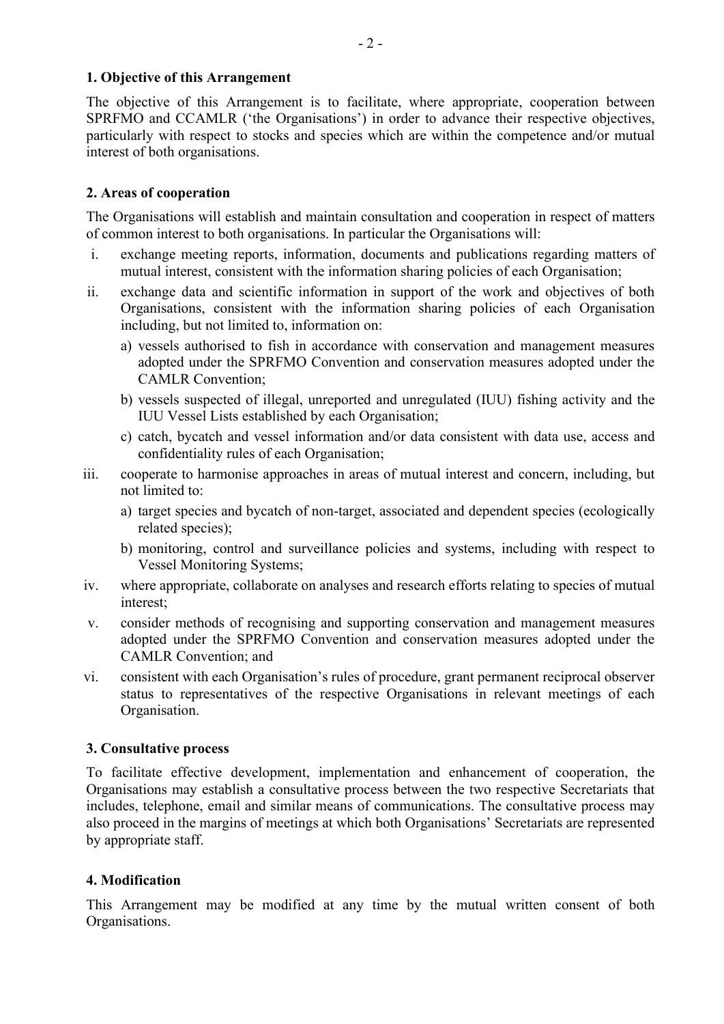#### **1. Objective of this Arrangement**

The objective of this Arrangement is to facilitate, where appropriate, cooperation between SPRFMO and CCAMLR ('the Organisations') in order to advance their respective objectives, particularly with respect to stocks and species which are within the competence and/or mutual interest of both organisations.

#### **2. Areas of cooperation**

The Organisations will establish and maintain consultation and cooperation in respect of matters of common interest to both organisations. In particular the Organisations will:

- i. exchange meeting reports, information, documents and publications regarding matters of mutual interest, consistent with the information sharing policies of each Organisation;
- ii. exchange data and scientific information in support of the work and objectives of both Organisations, consistent with the information sharing policies of each Organisation including, but not limited to, information on:
	- a) vessels authorised to fish in accordance with conservation and management measures adopted under the SPRFMO Convention and conservation measures adopted under the CAMLR Convention;
	- b) vessels suspected of illegal, unreported and unregulated (IUU) fishing activity and the IUU Vessel Lists established by each Organisation;
	- c) catch, bycatch and vessel information and/or data consistent with data use, access and confidentiality rules of each Organisation;
- iii. cooperate to harmonise approaches in areas of mutual interest and concern, including, but not limited to:
	- a) target species and bycatch of non-target, associated and dependent species (ecologically related species);
	- b) monitoring, control and surveillance policies and systems, including with respect to Vessel Monitoring Systems;
- iv. where appropriate, collaborate on analyses and research efforts relating to species of mutual interest;
- v. consider methods of recognising and supporting conservation and management measures adopted under the SPRFMO Convention and conservation measures adopted under the CAMLR Convention; and
- vi. consistent with each Organisation's rules of procedure, grant permanent reciprocal observer status to representatives of the respective Organisations in relevant meetings of each Organisation.

#### **3. Consultative process**

To facilitate effective development, implementation and enhancement of cooperation, the Organisations may establish a consultative process between the two respective Secretariats that includes, telephone, email and similar means of communications. The consultative process may also proceed in the margins of meetings at which both Organisations' Secretariats are represented by appropriate staff.

#### **4. Modification**

This Arrangement may be modified at any time by the mutual written consent of both Organisations.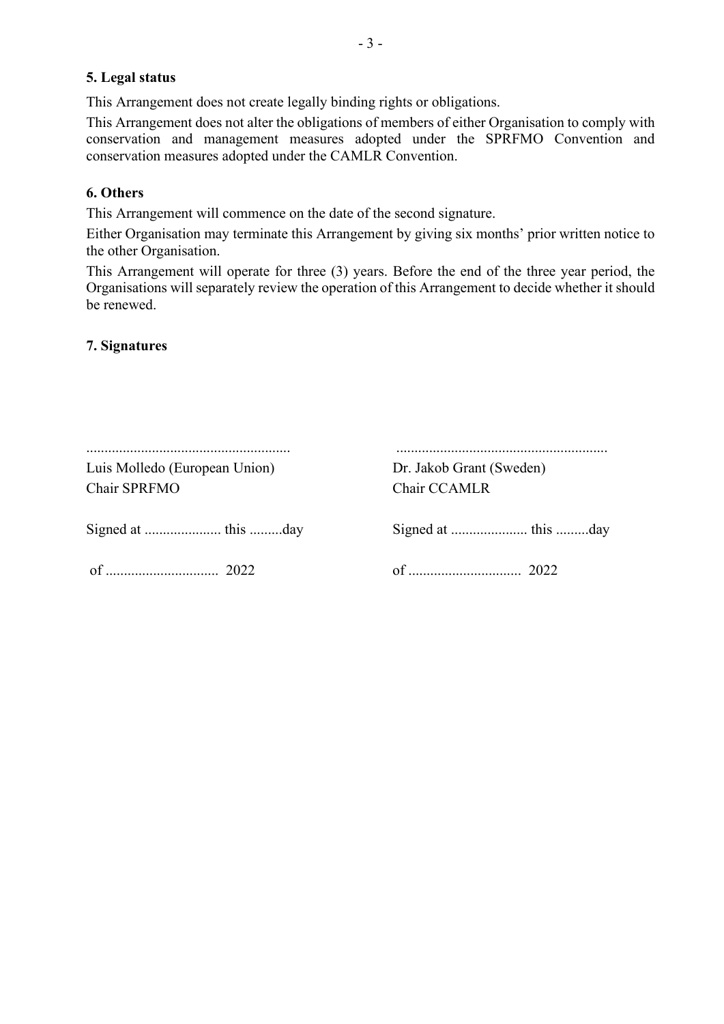### **5. Legal status**

This Arrangement does not create legally binding rights or obligations.

This Arrangement does not alter the obligations of members of either Organisation to comply with conservation and management measures adopted under the SPRFMO Convention and conservation measures adopted under the CAMLR Convention.

## **6. Others**

This Arrangement will commence on the date of the second signature.

Either Organisation may terminate this Arrangement by giving six months' prior written notice to the other Organisation.

This Arrangement will operate for three (3) years. Before the end of the three year period, the Organisations will separately review the operation of this Arrangement to decide whether it should be renewed.

## **7. Signatures**

| Luis Molledo (European Union)<br>Chair SPRFMO | Dr. Jakob Grant (Sweden)<br>Chair CCAMLR |
|-----------------------------------------------|------------------------------------------|
|                                               |                                          |
|                                               |                                          |